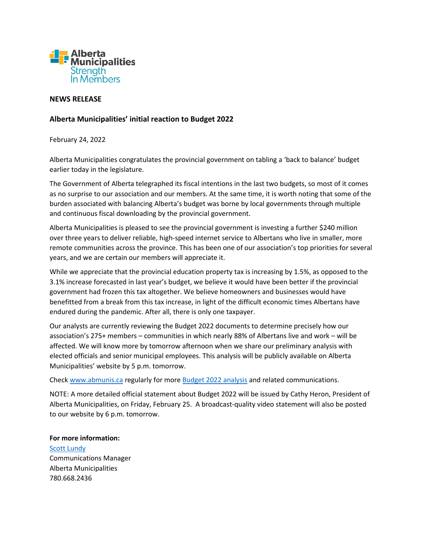

## **NEWS RELEASE**

## **Alberta Municipalities' initial reaction to Budget 2022**

February 24, 2022

Alberta Municipalities congratulates the provincial government on tabling a 'back to balance' budget earlier today in the legislature.

The Government of Alberta telegraphed its fiscal intentions in the last two budgets, so most of it comes as no surprise to our association and our members. At the same time, it is worth noting that some of the burden associated with balancing Alberta's budget was borne by local governments through multiple and continuous fiscal downloading by the provincial government.

Alberta Municipalities is pleased to see the provincial government is investing a further \$240 million over three years to deliver reliable, high-speed internet service to Albertans who live in smaller, more remote communities across the province. This has been one of our association's top priorities for several years, and we are certain our members will appreciate it.

While we appreciate that the provincial education property tax is increasing by 1.5%, as opposed to the 3.1% increase forecasted in last year's budget, we believe it would have been better if the provincial government had frozen this tax altogether. We believe homeowners and businesses would have benefitted from a break from this tax increase, in light of the difficult economic times Albertans have endured during the pandemic. After all, there is only one taxpayer.

Our analysts are currently reviewing the Budget 2022 documents to determine precisely how our association's 275+ members – communities in which nearly 88% of Albertans live and work – will be affected. We will know more by tomorrow afternoon when we share our preliminary analysis with elected officials and senior municipal employees. This analysis will be publicly available on Alberta Municipalities' website by 5 p.m. tomorrow.

Check [www.abmunis.ca](http://www.abmunis.ca/) regularly for more [Budget 2022](http://www.abmunis.ca/advocacy-resources/economics/budget-2022) analysis and related communications.

NOTE: A more detailed official statement about Budget 2022 will be issued by Cathy Heron, President of Alberta Municipalities, on Friday, February 25. A broadcast-quality video statement will also be posted to our website by 6 p.m. tomorrow.

## **For more information:**

[Scott Lundy](mailto:communciations@abmunis.ca?subject=Media%20Advisory%20notice) Communications Manager Alberta Municipalities 780.668.2436